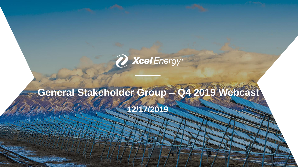

## **General Stakeholder Group – Q4 2019 Webcast**

**12/17/2019**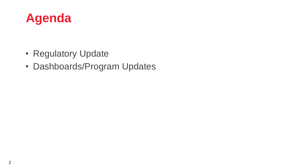

- Regulatory Update
- Dashboards/Program Updates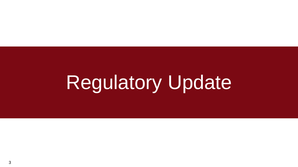# Regulatory Update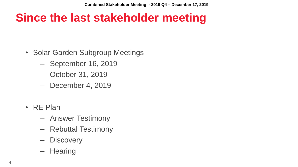#### **Since the last stakeholder meeting**

- Solar Garden Subgroup Meetings
	- September 16, 2019
	- October 31, 2019
	- December 4, 2019
- RE Plan
	- Answer Testimony
	- Rebuttal Testimony
	- Discovery
	- Hearing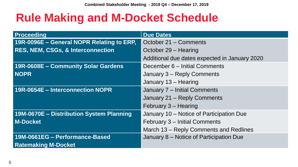#### **Rule Making and M-Docket Schedule**

| Proceeding                                   | <b>Due Dates</b>                              |  |
|----------------------------------------------|-----------------------------------------------|--|
| 19R-0096E - General NOPR Relating to ERP,    | October 21 – Comments                         |  |
| <b>RES, NEM, CSGs, &amp; Interconnection</b> | October 29 – Hearing                          |  |
|                                              | Additional due dates expected in January 2020 |  |
| 19R-0608E - Community Solar Gardens          | December 6 - Initial Comments                 |  |
| <b>NOPR</b>                                  | January 3 - Reply Comments                    |  |
|                                              | January 13 - Hearing                          |  |
| 19R-0654E - Interconnection NOPR             | January 7 - Initial Comments                  |  |
|                                              | January 21 - Reply Comments                   |  |
|                                              | February 3 - Hearing                          |  |
| 19M-0670E - Distribution System Planning     | January 10 - Notice of Participation Due      |  |
| <b>M-Docket</b>                              | February 3 – Initial Comments                 |  |
|                                              | March 13 – Reply Comments and Redlines        |  |
| 19M-0661EG - Performance-Based               | January 8 – Notice of Participation Due       |  |
| <b>Ratemaking M-Docket</b>                   |                                               |  |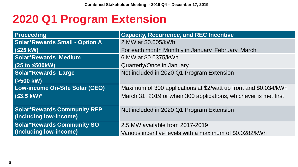#### **2020 Q1 Program Extension**

| <b>Proceeding</b>                     | <b>Capacity, Recurrence, and REC Incentive</b>                   |
|---------------------------------------|------------------------------------------------------------------|
| <b>Solar*Rewards Small - Option A</b> | 2 MW at \$0.005/kWh                                              |
| $(S25$ kW)                            | For each month Monthly in January, February, March               |
| <b>Solar*Rewards Medium</b>           | 6 MW at \$0.0375/kWh                                             |
| (25 to \$500kW)                       | Quarterly/Once in January                                        |
| <b>Solar*Rewards Large</b>            | Not included in 2020 Q1 Program Extension                        |
| $ $ (>500 kW)                         |                                                                  |
| Low-income On-Site Solar (CEO)        | Maximum of 300 applications at \$2/watt up front and \$0.034/kWh |
| $ $ (S3.5 kW)*                        | March 31, 2019 or when 300 applications, whichever is met first  |
|                                       |                                                                  |
| <b>Solar*Rewards Community RFP</b>    | Not included in 2020 Q1 Program Extension                        |
| (Including low-income)                |                                                                  |
| <b>Solar*Rewards Community SO</b>     | 2.5 MW available from 2017-2019                                  |
| (Including low-income)                | Various incentive levels with a maximum of \$0.0282/kWh          |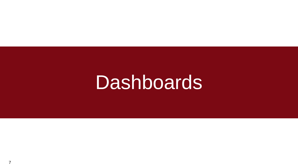## **Dashboards**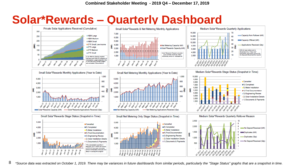#### **Solar\*Rewards – Quarterly Dashboard**



8 \*Source data was extracted on October 1, 2019. There may be variances in future dashboards from similar periods, particularly the "Stage Status" graphs that are a snapshot in time.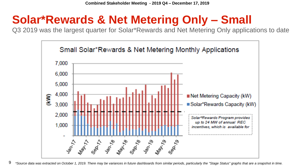#### **Solar\*Rewards & Net Metering Only – Small**

Q3 2019 was the largest quarter for Solar\*Rewards and Net Metering Only applications to date



<sup>9</sup> \*Source data was extracted on October 1, 2019. There may be variances in future dashboards from similar periods, particularly the "Stage Status" graphs that are a snapshot in time.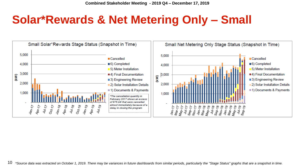#### **Solar\*Rewards & Net Metering Only – Small**

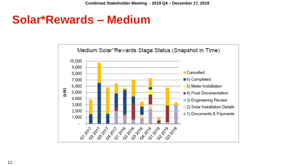#### **Solar\*Rewards – Medium**

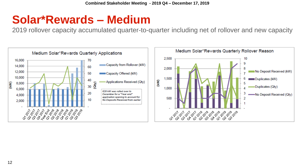#### **Solar\*Rewards – Medium**

2019 rollover capacity accumulated quarter-to-quarter including net of rollover and new capacity

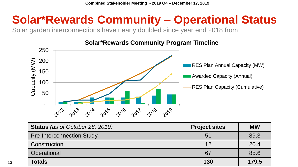### **Solar\*Rewards Community – Operational Status**

Solar garden interconnections have nearly doubled since year end 2018 from



#### **Solar\*Rewards Community Program Timeline**

| <b>Status</b> (as of October 28, 2019) | <b>Project sites</b> | <b>MW</b> |
|----------------------------------------|----------------------|-----------|
| <b>Pre-Interconnection Study</b>       | 51                   | 89.3      |
| Construction                           | 12                   | 20.4      |
| Operational                            | 67                   | 85.6      |
| <b>Totals</b>                          | 130                  | 179.5     |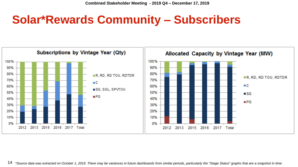#### **Solar\*Rewards Community – Subscribers**



14 \*Source data was extracted on October 1, 2019. There may be variances in future dashboards from similar periods, particularly the "Stage Status" graphs that are a snapshot in time.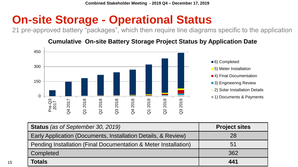#### **On-site Storage - Operational Status**

21 pre-approved battery "packages", which then require line diagrams specific to the application

#### **Cumulative On-site Battery Storage Project Status by Application Date**



| <b>Status</b> (as of September 30, 2019)                        | <b>Project sites</b> |
|-----------------------------------------------------------------|----------------------|
| Early Application (Documents, Installation Details, & Review)   | 28                   |
| Pending Installation (Final Documentation & Meter Installation) | 51                   |
| Completed                                                       | 362                  |
| <b>Totals</b>                                                   | 441                  |